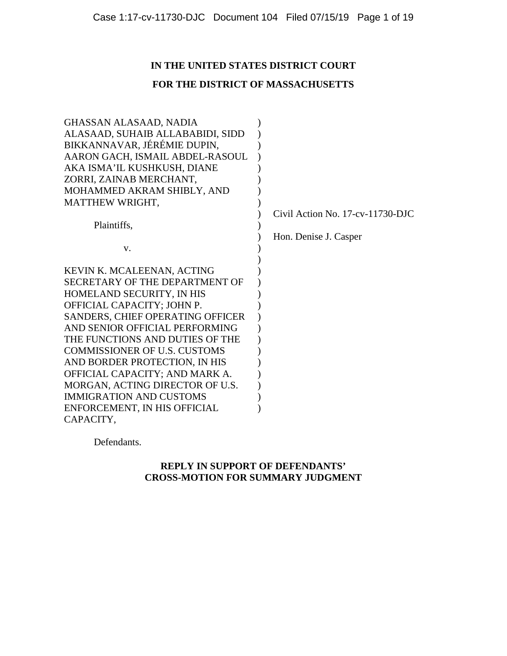# **IN THE UNITED STATES DISTRICT COURT**

# **FOR THE DISTRICT OF MASSACHUSETTS**

| GHASSAN ALASAAD, NADIA              |                                         |
|-------------------------------------|-----------------------------------------|
| ALASAAD, SUHAIB ALLABABIDI, SIDD    |                                         |
| BIKKANNAVAR, JÉRÉMIE DUPIN,         |                                         |
| AARON GACH, ISMAIL ABDEL-RASOUL     |                                         |
| AKA ISMA'IL KUSHKUSH, DIANE         |                                         |
| ZORRI, ZAINAB MERCHANT,             |                                         |
| MOHAMMED AKRAM SHIBLY, AND          |                                         |
| <b>MATTHEW WRIGHT,</b>              |                                         |
|                                     | Civil Action No. $17$ -cv- $11730$ -DJC |
| Plaintiffs,                         |                                         |
|                                     | Hon. Denise J. Casper                   |
| V.                                  |                                         |
|                                     |                                         |
| KEVIN K. MCALEENAN, ACTING          |                                         |
| SECRETARY OF THE DEPARTMENT OF      |                                         |
| HOMELAND SECURITY, IN HIS           |                                         |
| OFFICIAL CAPACITY; JOHN P.          |                                         |
| SANDERS, CHIEF OPERATING OFFICER    |                                         |
| AND SENIOR OFFICIAL PERFORMING      |                                         |
| THE FUNCTIONS AND DUTIES OF THE     |                                         |
| <b>COMMISSIONER OF U.S. CUSTOMS</b> |                                         |
| AND BORDER PROTECTION, IN HIS       |                                         |
| OFFICIAL CAPACITY; AND MARK A.      |                                         |
| MORGAN, ACTING DIRECTOR OF U.S.     |                                         |
| <b>IMMIGRATION AND CUSTOMS</b>      |                                         |
| ENFORCEMENT, IN HIS OFFICIAL        |                                         |
| CAPACITY,                           |                                         |

Defendants.

# **REPLY IN SUPPORT OF DEFENDANTS' CROSS-MOTION FOR SUMMARY JUDGMENT**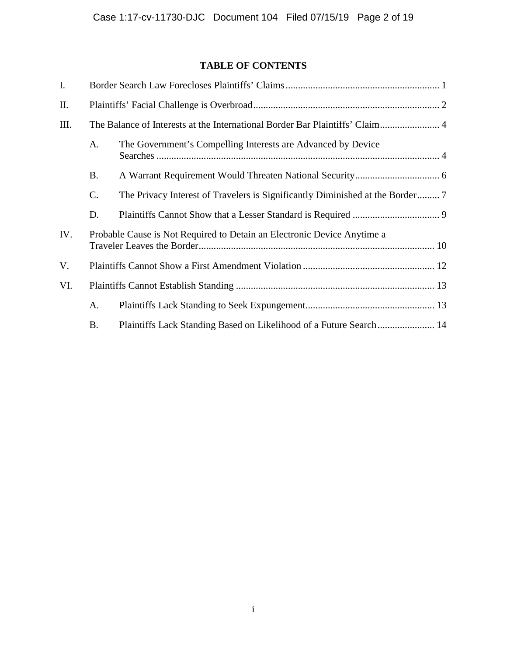# **TABLE OF CONTENTS**

| I.   |                                                                              |                                                                         |
|------|------------------------------------------------------------------------------|-------------------------------------------------------------------------|
| Π.   |                                                                              |                                                                         |
| III. | The Balance of Interests at the International Border Bar Plaintiffs' Claim 4 |                                                                         |
|      | A.                                                                           | The Government's Compelling Interests are Advanced by Device            |
|      | <b>B.</b>                                                                    |                                                                         |
|      | C.                                                                           |                                                                         |
|      | D.                                                                           |                                                                         |
| IV.  |                                                                              | Probable Cause is Not Required to Detain an Electronic Device Anytime a |
| V.   |                                                                              |                                                                         |
| VI.  |                                                                              |                                                                         |
|      | A.                                                                           |                                                                         |
|      | <b>B.</b>                                                                    |                                                                         |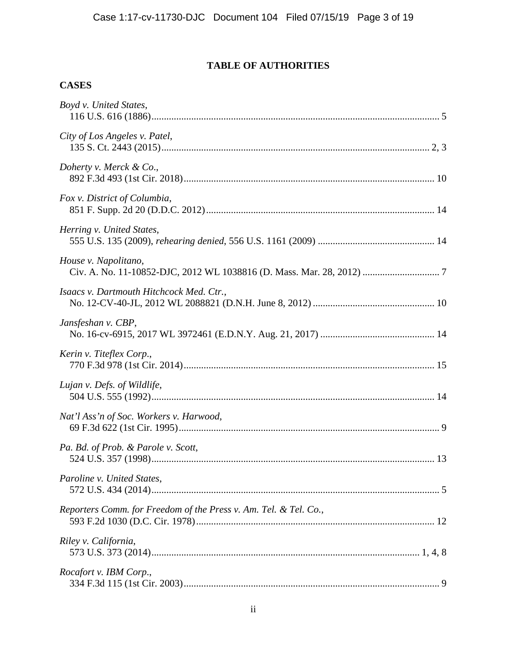# **TABLE OF AUTHORITIES**

# **CASES**

| Boyd v. United States,                                           |  |
|------------------------------------------------------------------|--|
| City of Los Angeles v. Patel,                                    |  |
| Doherty v. Merck & Co.,                                          |  |
| Fox v. District of Columbia,                                     |  |
| Herring v. United States,                                        |  |
| House v. Napolitano,                                             |  |
| Isaacs v. Dartmouth Hitchcock Med. Ctr.,                         |  |
| Jansfeshan v. CBP,                                               |  |
| Kerin v. Titeflex Corp.,                                         |  |
| Lujan v. Defs. of Wildlife,                                      |  |
| Nat'l Ass'n of Soc. Workers v. Harwood,                          |  |
| Pa. Bd. of Prob. & Parole v. Scott,                              |  |
| Paroline v. United States,                                       |  |
| Reporters Comm. for Freedom of the Press v. Am. Tel. & Tel. Co., |  |
| Riley v. California,                                             |  |
| Rocafort v. IBM Corp.,                                           |  |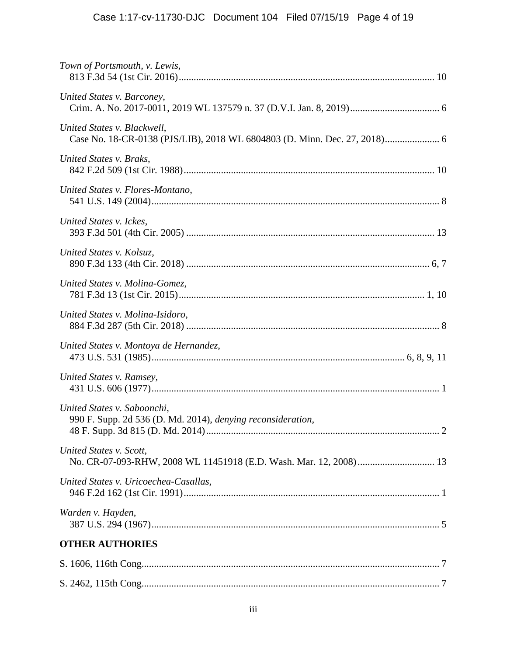| Town of Portsmouth, v. Lewis,                                                                      |
|----------------------------------------------------------------------------------------------------|
| United States v. Barconey,                                                                         |
| United States v. Blackwell,                                                                        |
| United States v. Braks,                                                                            |
| United States v. Flores-Montano,                                                                   |
| United States v. Ickes,                                                                            |
| United States v. Kolsuz,                                                                           |
| United States v. Molina-Gomez,                                                                     |
| United States v. Molina-Isidoro,                                                                   |
| United States v. Montoya de Hernandez,                                                             |
| United States v. Ramsey,                                                                           |
| United States v. Saboonchi,<br>990 F. Supp. 2d 536 (D. Md. 2014), <i>denying reconsideration</i> , |
| United States v. Scott,                                                                            |
| United States v. Uricoechea-Casallas,                                                              |
| Warden v. Hayden,                                                                                  |
| <b>OTHER AUTHORIES</b>                                                                             |
|                                                                                                    |
|                                                                                                    |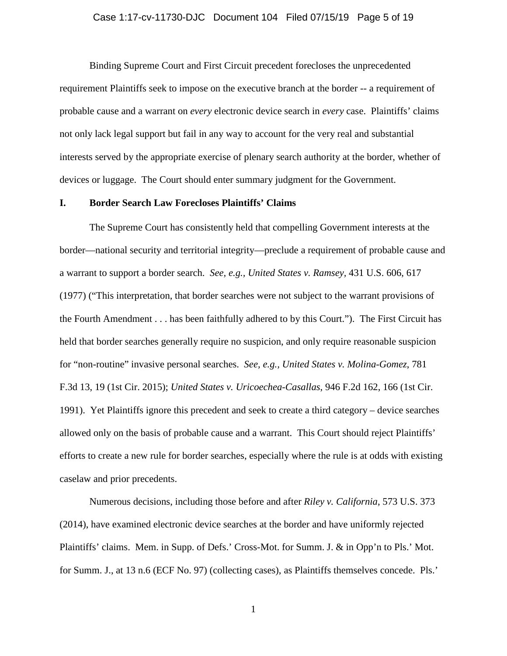# Case 1:17-cv-11730-DJC Document 104 Filed 07/15/19 Page 5 of 19

Binding Supreme Court and First Circuit precedent forecloses the unprecedented requirement Plaintiffs seek to impose on the executive branch at the border -- a requirement of probable cause and a warrant on *every* electronic device search in *every* case. Plaintiffs' claims not only lack legal support but fail in any way to account for the very real and substantial interests served by the appropriate exercise of plenary search authority at the border, whether of devices or luggage. The Court should enter summary judgment for the Government.

# **I. Border Search Law Forecloses Plaintiffs' Claims**

The Supreme Court has consistently held that compelling Government interests at the border—national security and territorial integrity—preclude a requirement of probable cause and a warrant to support a border search. *See, e.g., United States v. Ramsey,* 431 U.S. 606, 617 (1977) ("This interpretation, that border searches were not subject to the warrant provisions of the Fourth Amendment . . . has been faithfully adhered to by this Court."). The First Circuit has held that border searches generally require no suspicion, and only require reasonable suspicion for "non-routine" invasive personal searches. *See, e.g., United States v. Molina-Gomez*, 781 F.3d 13, 19 (1st Cir. 2015); *United States v. Uricoechea-Casallas*, 946 F.2d 162, 166 (1st Cir. 1991). Yet Plaintiffs ignore this precedent and seek to create a third category – device searches allowed only on the basis of probable cause and a warrant. This Court should reject Plaintiffs' efforts to create a new rule for border searches, especially where the rule is at odds with existing caselaw and prior precedents.

Numerous decisions, including those before and after *Riley v. California*, 573 U.S. 373 (2014), have examined electronic device searches at the border and have uniformly rejected Plaintiffs' claims. Mem. in Supp. of Defs.' Cross-Mot. for Summ. J. & in Opp'n to Pls.' Mot. for Summ. J., at 13 n.6 (ECF No. 97) (collecting cases), as Plaintiffs themselves concede. Pls.'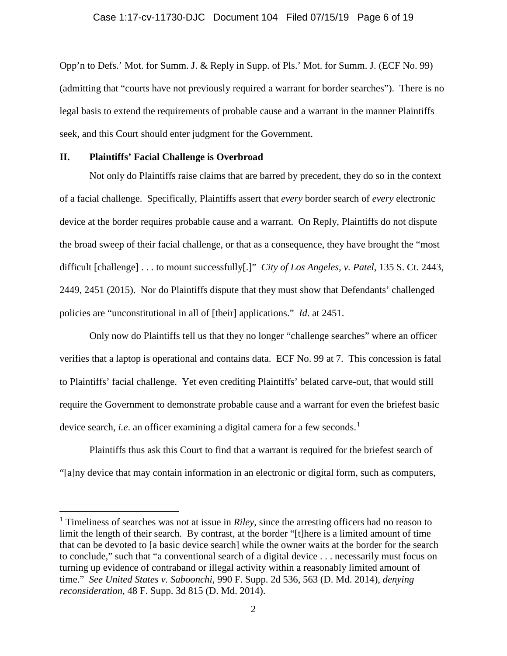Opp'n to Defs.' Mot. for Summ. J. & Reply in Supp. of Pls.' Mot. for Summ. J. (ECF No. 99) (admitting that "courts have not previously required a warrant for border searches"). There is no legal basis to extend the requirements of probable cause and a warrant in the manner Plaintiffs seek, and this Court should enter judgment for the Government.

# **II. Plaintiffs' Facial Challenge is Overbroad**

Not only do Plaintiffs raise claims that are barred by precedent, they do so in the context of a facial challenge. Specifically, Plaintiffs assert that *every* border search of *every* electronic device at the border requires probable cause and a warrant. On Reply, Plaintiffs do not dispute the broad sweep of their facial challenge, or that as a consequence, they have brought the "most difficult [challenge] . . . to mount successfully[.]" *City of Los Angeles, v. Patel*, 135 S. Ct. 2443, 2449, 2451 (2015). Nor do Plaintiffs dispute that they must show that Defendants' challenged policies are "unconstitutional in all of [their] applications." *Id*. at 2451.

Only now do Plaintiffs tell us that they no longer "challenge searches" where an officer verifies that a laptop is operational and contains data. ECF No. 99 at 7. This concession is fatal to Plaintiffs' facial challenge. Yet even crediting Plaintiffs' belated carve-out, that would still require the Government to demonstrate probable cause and a warrant for even the briefest basic device search, *i.e.* an officer examining a digital camera for a few seconds.<sup>[1](#page-5-0)</sup>

Plaintiffs thus ask this Court to find that a warrant is required for the briefest search of "[a]ny device that may contain information in an electronic or digital form, such as computers,

<span id="page-5-0"></span> <sup>1</sup> Timeliness of searches was not at issue in *Riley*, since the arresting officers had no reason to limit the length of their search. By contrast, at the border "[t]here is a limited amount of time that can be devoted to [a basic device search] while the owner waits at the border for the search to conclude," such that "a conventional search of a digital device . . . necessarily must focus on turning up evidence of contraband or illegal activity within a reasonably limited amount of time." *See United States v. Saboonchi*, 990 F. Supp. 2d 536, 563 (D. Md. 2014), *denying reconsideration*, 48 F. Supp. 3d 815 (D. Md. 2014).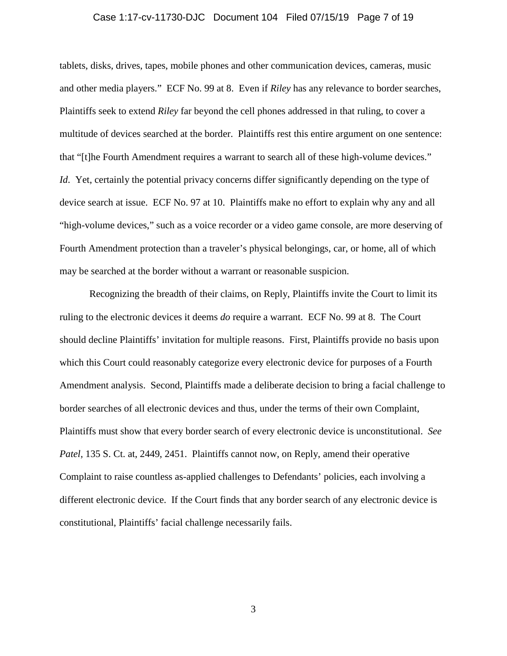### Case 1:17-cv-11730-DJC Document 104 Filed 07/15/19 Page 7 of 19

tablets, disks, drives, tapes, mobile phones and other communication devices, cameras, music and other media players." ECF No. 99 at 8. Even if *Riley* has any relevance to border searches, Plaintiffs seek to extend *Riley* far beyond the cell phones addressed in that ruling, to cover a multitude of devices searched at the border. Plaintiffs rest this entire argument on one sentence: that "[t]he Fourth Amendment requires a warrant to search all of these high-volume devices." *Id.* Yet, certainly the potential privacy concerns differ significantly depending on the type of device search at issue. ECF No. 97 at 10. Plaintiffs make no effort to explain why any and all "high-volume devices," such as a voice recorder or a video game console, are more deserving of Fourth Amendment protection than a traveler's physical belongings, car, or home, all of which may be searched at the border without a warrant or reasonable suspicion.

Recognizing the breadth of their claims, on Reply, Plaintiffs invite the Court to limit its ruling to the electronic devices it deems *do* require a warrant. ECF No. 99 at 8. The Court should decline Plaintiffs' invitation for multiple reasons. First, Plaintiffs provide no basis upon which this Court could reasonably categorize every electronic device for purposes of a Fourth Amendment analysis. Second, Plaintiffs made a deliberate decision to bring a facial challenge to border searches of all electronic devices and thus, under the terms of their own Complaint, Plaintiffs must show that every border search of every electronic device is unconstitutional. *See Patel,* 135 S. Ct. at, 2449, 2451. Plaintiffs cannot now, on Reply, amend their operative Complaint to raise countless as-applied challenges to Defendants' policies, each involving a different electronic device. If the Court finds that any border search of any electronic device is constitutional, Plaintiffs' facial challenge necessarily fails.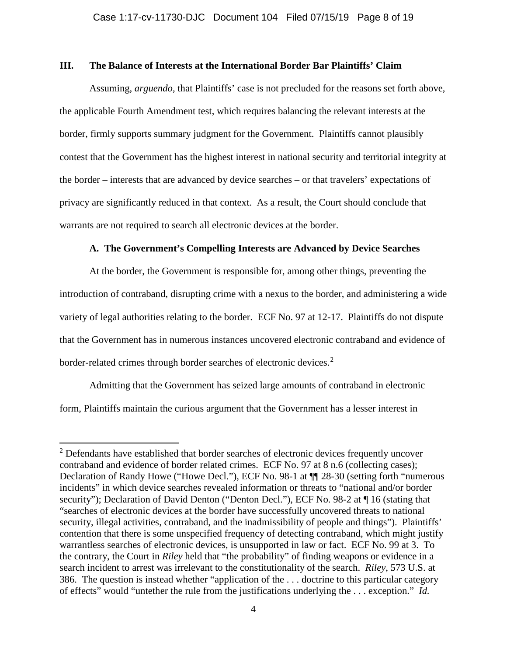# **III. The Balance of Interests at the International Border Bar Plaintiffs' Claim**

Assuming, *arguendo*, that Plaintiffs' case is not precluded for the reasons set forth above, the applicable Fourth Amendment test, which requires balancing the relevant interests at the border, firmly supports summary judgment for the Government. Plaintiffs cannot plausibly contest that the Government has the highest interest in national security and territorial integrity at the border – interests that are advanced by device searches – or that travelers' expectations of privacy are significantly reduced in that context. As a result, the Court should conclude that warrants are not required to search all electronic devices at the border.

# **A. The Government's Compelling Interests are Advanced by Device Searches**

At the border, the Government is responsible for, among other things, preventing the introduction of contraband, disrupting crime with a nexus to the border, and administering a wide variety of legal authorities relating to the border. ECF No. 97 at 12-17. Plaintiffs do not dispute that the Government has in numerous instances uncovered electronic contraband and evidence of border-related crimes through border searches of electronic devices. [2](#page-7-0)

Admitting that the Government has seized large amounts of contraband in electronic form, Plaintiffs maintain the curious argument that the Government has a lesser interest in

<span id="page-7-0"></span><sup>&</sup>lt;sup>2</sup> Defendants have established that border searches of electronic devices frequently uncover contraband and evidence of border related crimes. ECF No. 97 at 8 n.6 (collecting cases); Declaration of Randy Howe ("Howe Decl."), ECF No. 98-1 at ¶¶ 28-30 (setting forth "numerous incidents" in which device searches revealed information or threats to "national and/or border security"); Declaration of David Denton ("Denton Decl."), ECF No. 98-2 at  $\P$  16 (stating that "searches of electronic devices at the border have successfully uncovered threats to national security, illegal activities, contraband, and the inadmissibility of people and things"). Plaintiffs' contention that there is some unspecified frequency of detecting contraband, which might justify warrantless searches of electronic devices, is unsupported in law or fact. ECF No. 99 at 3. To the contrary, the Court in *Riley* held that "the probability" of finding weapons or evidence in a search incident to arrest was irrelevant to the constitutionality of the search. *Riley*, 573 U.S. at 386. The question is instead whether "application of the . . . doctrine to this particular category of effects" would "untether the rule from the justifications underlying the . . . exception." *Id.*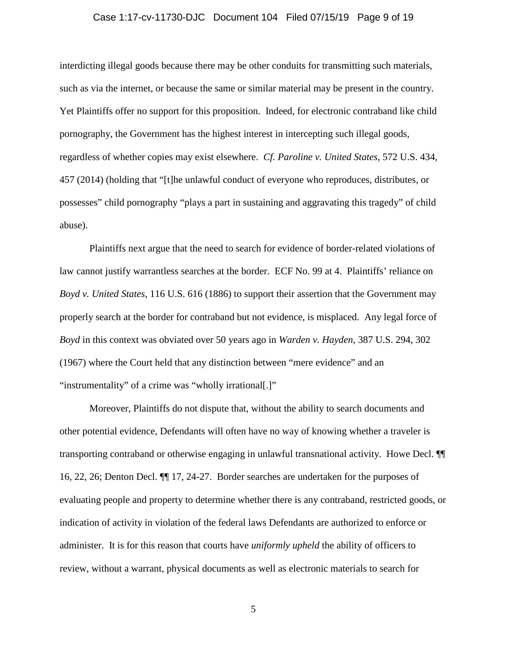### Case 1:17-cv-11730-DJC Document 104 Filed 07/15/19 Page 9 of 19

interdicting illegal goods because there may be other conduits for transmitting such materials, such as via the internet, or because the same or similar material may be present in the country. Yet Plaintiffs offer no support for this proposition. Indeed, for electronic contraband like child pornography, the Government has the highest interest in intercepting such illegal goods, regardless of whether copies may exist elsewhere. *Cf. Paroline v. United States*, 572 U.S. 434, 457 (2014) (holding that "[t]he unlawful conduct of everyone who reproduces, distributes, or possesses" child pornography "plays a part in sustaining and aggravating this tragedy" of child abuse).

Plaintiffs next argue that the need to search for evidence of border-related violations of law cannot justify warrantless searches at the border. ECF No. 99 at 4. Plaintiffs' reliance on *Boyd v. United States*, 116 U.S. 616 (1886) to support their assertion that the Government may properly search at the border for contraband but not evidence, is misplaced. Any legal force of *Boyd* in this context was obviated over 50 years ago in *Warden v. Hayden*, 387 U.S. 294, 302 (1967) where the Court held that any distinction between "mere evidence" and an "instrumentality" of a crime was "wholly irrational[.]"

Moreover, Plaintiffs do not dispute that, without the ability to search documents and other potential evidence, Defendants will often have no way of knowing whether a traveler is transporting contraband or otherwise engaging in unlawful transnational activity. Howe Decl. ¶¶ 16, 22, 26; Denton Decl. ¶¶ 17, 24-27. Border searches are undertaken for the purposes of evaluating people and property to determine whether there is any contraband, restricted goods, or indication of activity in violation of the federal laws Defendants are authorized to enforce or administer. It is for this reason that courts have *uniformly upheld* the ability of officers to review, without a warrant, physical documents as well as electronic materials to search for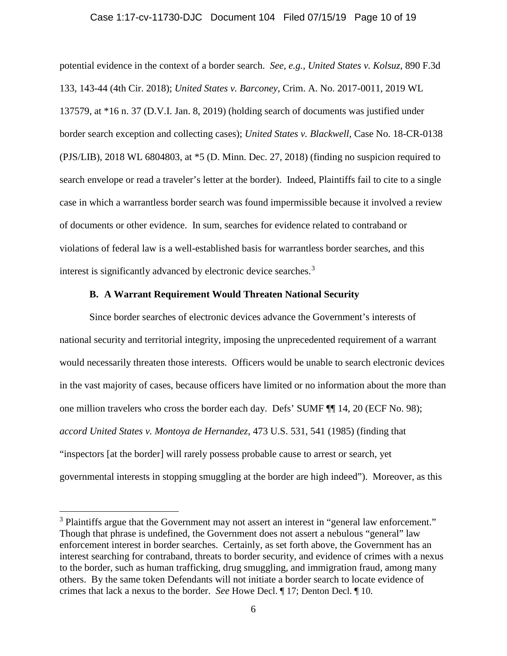#### Case 1:17-cv-11730-DJC Document 104 Filed 07/15/19 Page 10 of 19

potential evidence in the context of a border search. *See, e.g., United States v. Kolsuz*, 890 F.3d 133, 143-44 (4th Cir. 2018); *United States v. Barconey*, Crim. A. No. 2017-0011, 2019 WL 137579, at \*16 n. 37 (D.V.I. Jan. 8, 2019) (holding search of documents was justified under border search exception and collecting cases); *United States v. Blackwell*, Case No. 18-CR-0138 (PJS/LIB), 2018 WL 6804803, at \*5 (D. Minn. Dec. 27, 2018) (finding no suspicion required to search envelope or read a traveler's letter at the border). Indeed, Plaintiffs fail to cite to a single case in which a warrantless border search was found impermissible because it involved a review of documents or other evidence. In sum, searches for evidence related to contraband or violations of federal law is a well-established basis for warrantless border searches, and this interest is significantly advanced by electronic device searches.<sup>[3](#page-9-0)</sup>

# **B. A Warrant Requirement Would Threaten National Security**

Since border searches of electronic devices advance the Government's interests of national security and territorial integrity, imposing the unprecedented requirement of a warrant would necessarily threaten those interests. Officers would be unable to search electronic devices in the vast majority of cases, because officers have limited or no information about the more than one million travelers who cross the border each day. Defs' SUMF ¶¶ 14, 20 (ECF No. 98); *accord United States v. Montoya de Hernandez*, 473 U.S. 531, 541 (1985) (finding that "inspectors [at the border] will rarely possess probable cause to arrest or search, yet governmental interests in stopping smuggling at the border are high indeed"). Moreover, as this

<span id="page-9-0"></span><sup>&</sup>lt;sup>3</sup> Plaintiffs argue that the Government may not assert an interest in "general law enforcement." Though that phrase is undefined, the Government does not assert a nebulous "general" law enforcement interest in border searches. Certainly, as set forth above, the Government has an interest searching for contraband, threats to border security, and evidence of crimes with a nexus to the border, such as human trafficking, drug smuggling, and immigration fraud, among many others. By the same token Defendants will not initiate a border search to locate evidence of crimes that lack a nexus to the border. *See* Howe Decl. ¶ 17; Denton Decl. ¶ 10.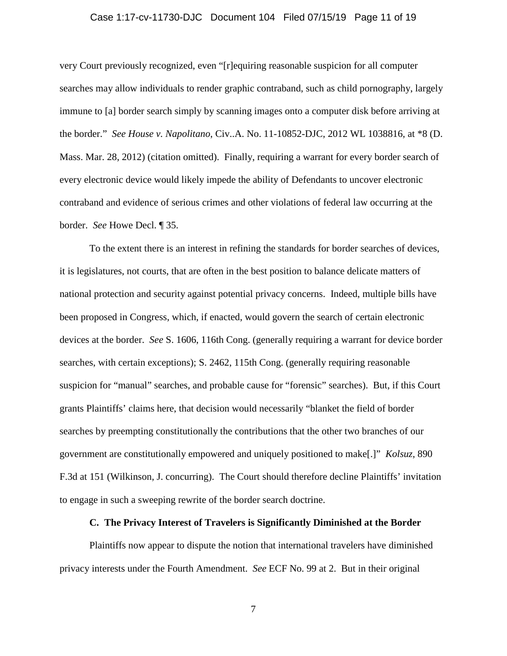### Case 1:17-cv-11730-DJC Document 104 Filed 07/15/19 Page 11 of 19

very Court previously recognized, even "[r]equiring reasonable suspicion for all computer searches may allow individuals to render graphic contraband, such as child pornography, largely immune to [a] border search simply by scanning images onto a computer disk before arriving at the border." *See House v. Napolitano*, Civ..A. No. 11-10852-DJC, 2012 WL 1038816, at \*8 (D. Mass. Mar. 28, 2012) (citation omitted). Finally, requiring a warrant for every border search of every electronic device would likely impede the ability of Defendants to uncover electronic contraband and evidence of serious crimes and other violations of federal law occurring at the border. *See* Howe Decl. ¶ 35.

To the extent there is an interest in refining the standards for border searches of devices, it is legislatures, not courts, that are often in the best position to balance delicate matters of national protection and security against potential privacy concerns. Indeed, multiple bills have been proposed in Congress, which, if enacted, would govern the search of certain electronic devices at the border. *See* S. 1606, 116th Cong. (generally requiring a warrant for device border searches, with certain exceptions); S. 2462, 115th Cong. (generally requiring reasonable suspicion for "manual" searches, and probable cause for "forensic" searches). But, if this Court grants Plaintiffs' claims here, that decision would necessarily "blanket the field of border searches by preempting constitutionally the contributions that the other two branches of our government are constitutionally empowered and uniquely positioned to make[.]" *Kolsuz*, 890 F.3d at 151 (Wilkinson, J. concurring). The Court should therefore decline Plaintiffs' invitation to engage in such a sweeping rewrite of the border search doctrine.

# **C. The Privacy Interest of Travelers is Significantly Diminished at the Border**

Plaintiffs now appear to dispute the notion that international travelers have diminished privacy interests under the Fourth Amendment. *See* ECF No. 99 at 2. But in their original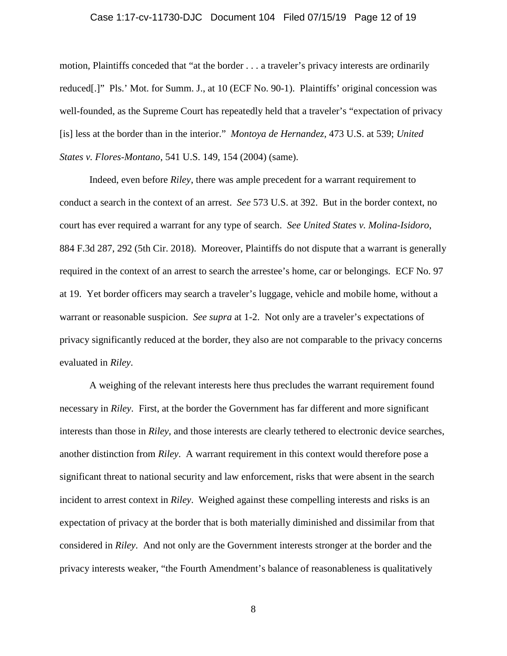### Case 1:17-cv-11730-DJC Document 104 Filed 07/15/19 Page 12 of 19

motion, Plaintiffs conceded that "at the border . . . a traveler's privacy interests are ordinarily reduced[.]" Pls.' Mot. for Summ. J., at 10 (ECF No. 90-1). Plaintiffs' original concession was well-founded, as the Supreme Court has repeatedly held that a traveler's "expectation of privacy [is] less at the border than in the interior." *Montoya de Hernandez*, 473 U.S. at 539; *United States v. Flores-Montano*, 541 U.S. 149, 154 (2004) (same).

Indeed, even before *Riley*, there was ample precedent for a warrant requirement to conduct a search in the context of an arrest. *See* 573 U.S. at 392. But in the border context, no court has ever required a warrant for any type of search. *See United States v. Molina-Isidoro*, 884 F.3d 287, 292 (5th Cir. 2018). Moreover, Plaintiffs do not dispute that a warrant is generally required in the context of an arrest to search the arrestee's home, car or belongings. ECF No. 97 at 19. Yet border officers may search a traveler's luggage, vehicle and mobile home, without a warrant or reasonable suspicion. *See supra* at 1-2. Not only are a traveler's expectations of privacy significantly reduced at the border, they also are not comparable to the privacy concerns evaluated in *Riley*.

A weighing of the relevant interests here thus precludes the warrant requirement found necessary in *Riley*. First, at the border the Government has far different and more significant interests than those in *Riley*, and those interests are clearly tethered to electronic device searches, another distinction from *Riley*. A warrant requirement in this context would therefore pose a significant threat to national security and law enforcement, risks that were absent in the search incident to arrest context in *Riley*. Weighed against these compelling interests and risks is an expectation of privacy at the border that is both materially diminished and dissimilar from that considered in *Riley*. And not only are the Government interests stronger at the border and the privacy interests weaker, "the Fourth Amendment's balance of reasonableness is qualitatively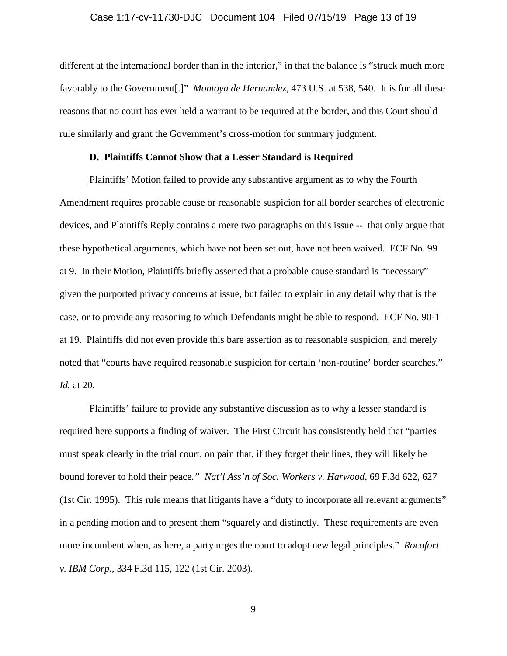# Case 1:17-cv-11730-DJC Document 104 Filed 07/15/19 Page 13 of 19

different at the international border than in the interior," in that the balance is "struck much more favorably to the Government[.]" *Montoya de Hernandez*, 473 U.S. at 538, 540. It is for all these reasons that no court has ever held a warrant to be required at the border, and this Court should rule similarly and grant the Government's cross-motion for summary judgment.

# **D. Plaintiffs Cannot Show that a Lesser Standard is Required**

Plaintiffs' Motion failed to provide any substantive argument as to why the Fourth Amendment requires probable cause or reasonable suspicion for all border searches of electronic devices, and Plaintiffs Reply contains a mere two paragraphs on this issue -- that only argue that these hypothetical arguments, which have not been set out, have not been waived. ECF No. 99 at 9. In their Motion, Plaintiffs briefly asserted that a probable cause standard is "necessary" given the purported privacy concerns at issue, but failed to explain in any detail why that is the case, or to provide any reasoning to which Defendants might be able to respond. ECF No. 90-1 at 19. Plaintiffs did not even provide this bare assertion as to reasonable suspicion, and merely noted that "courts have required reasonable suspicion for certain 'non-routine' border searches." *Id.* at 20.

Plaintiffs' failure to provide any substantive discussion as to why a lesser standard is required here supports a finding of waiver. The First Circuit has consistently held that "parties must speak clearly in the trial court, on pain that, if they forget their lines, they will likely be bound forever to hold their peace*." Nat'l Ass'n of Soc. Workers v. Harwood*, 69 F.3d 622, 627 (1st Cir. 1995). This rule means that litigants have a "duty to incorporate all relevant arguments" in a pending motion and to present them "squarely and distinctly. These requirements are even more incumbent when, as here, a party urges the court to adopt new legal principles." *Rocafort v. IBM Corp*., 334 F.3d 115, 122 (1st Cir. 2003).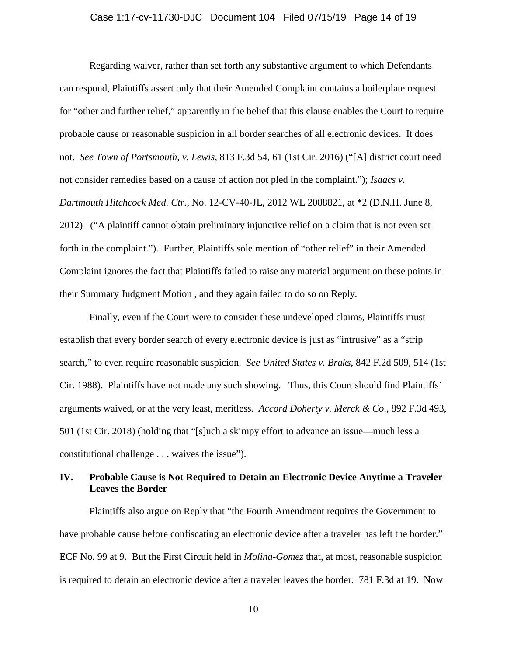### Case 1:17-cv-11730-DJC Document 104 Filed 07/15/19 Page 14 of 19

Regarding waiver, rather than set forth any substantive argument to which Defendants can respond, Plaintiffs assert only that their Amended Complaint contains a boilerplate request for "other and further relief," apparently in the belief that this clause enables the Court to require probable cause or reasonable suspicion in all border searches of all electronic devices. It does not. *See Town of Portsmouth, v. Lewis*, 813 F.3d 54, 61 (1st Cir. 2016) ("[A] district court need not consider remedies based on a cause of action not pled in the complaint."); *Isaacs v. Dartmouth Hitchcock Med. Ctr.*, No. 12-CV-40-JL, 2012 WL 2088821, at \*2 (D.N.H. June 8, 2012) ("A plaintiff cannot obtain preliminary injunctive relief on a claim that is not even set forth in the complaint."). Further, Plaintiffs sole mention of "other relief" in their Amended Complaint ignores the fact that Plaintiffs failed to raise any material argument on these points in their Summary Judgment Motion , and they again failed to do so on Reply.

Finally, even if the Court were to consider these undeveloped claims, Plaintiffs must establish that every border search of every electronic device is just as "intrusive" as a "strip search," to even require reasonable suspicion. *See United States v. Braks*, 842 F.2d 509, 514 (1st Cir. 1988). Plaintiffs have not made any such showing. Thus, this Court should find Plaintiffs' arguments waived, or at the very least, meritless. *Accord Doherty v. Merck & Co*., 892 F.3d 493, 501 (1st Cir. 2018) (holding that "[s]uch a skimpy effort to advance an issue—much less a constitutional challenge . . . waives the issue").

# **IV. Probable Cause is Not Required to Detain an Electronic Device Anytime a Traveler Leaves the Border**

Plaintiffs also argue on Reply that "the Fourth Amendment requires the Government to have probable cause before confiscating an electronic device after a traveler has left the border." ECF No. 99 at 9. But the First Circuit held in *Molina-Gomez* that, at most, reasonable suspicion is required to detain an electronic device after a traveler leaves the border. 781 F.3d at 19. Now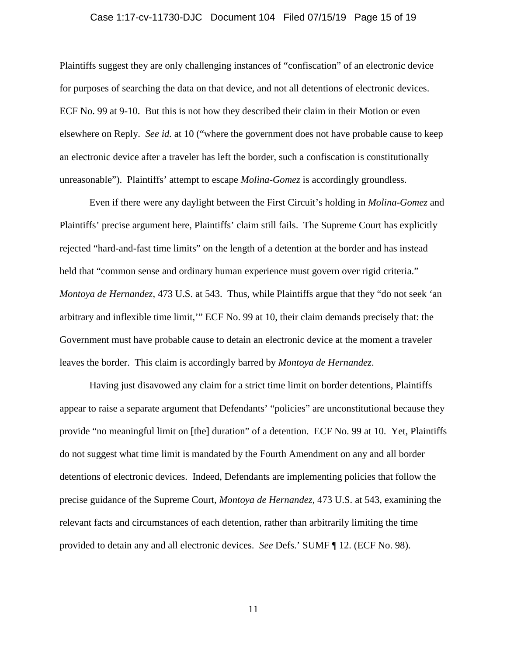### Case 1:17-cv-11730-DJC Document 104 Filed 07/15/19 Page 15 of 19

Plaintiffs suggest they are only challenging instances of "confiscation" of an electronic device for purposes of searching the data on that device, and not all detentions of electronic devices. ECF No. 99 at 9-10. But this is not how they described their claim in their Motion or even elsewhere on Reply. *See id.* at 10 ("where the government does not have probable cause to keep an electronic device after a traveler has left the border, such a confiscation is constitutionally unreasonable"). Plaintiffs' attempt to escape *Molina-Gomez* is accordingly groundless.

Even if there were any daylight between the First Circuit's holding in *Molina-Gomez* and Plaintiffs' precise argument here, Plaintiffs' claim still fails. The Supreme Court has explicitly rejected "hard-and-fast time limits" on the length of a detention at the border and has instead held that "common sense and ordinary human experience must govern over rigid criteria." *Montoya de Hernandez*, 473 U.S. at 543. Thus, while Plaintiffs argue that they "do not seek 'an arbitrary and inflexible time limit,'" ECF No. 99 at 10, their claim demands precisely that: the Government must have probable cause to detain an electronic device at the moment a traveler leaves the border. This claim is accordingly barred by *Montoya de Hernandez*.

Having just disavowed any claim for a strict time limit on border detentions, Plaintiffs appear to raise a separate argument that Defendants' "policies" are unconstitutional because they provide "no meaningful limit on [the] duration" of a detention. ECF No. 99 at 10. Yet, Plaintiffs do not suggest what time limit is mandated by the Fourth Amendment on any and all border detentions of electronic devices. Indeed, Defendants are implementing policies that follow the precise guidance of the Supreme Court, *Montoya de Hernandez*, 473 U.S. at 543, examining the relevant facts and circumstances of each detention, rather than arbitrarily limiting the time provided to detain any and all electronic devices. *See* Defs.' SUMF ¶ 12. (ECF No. 98).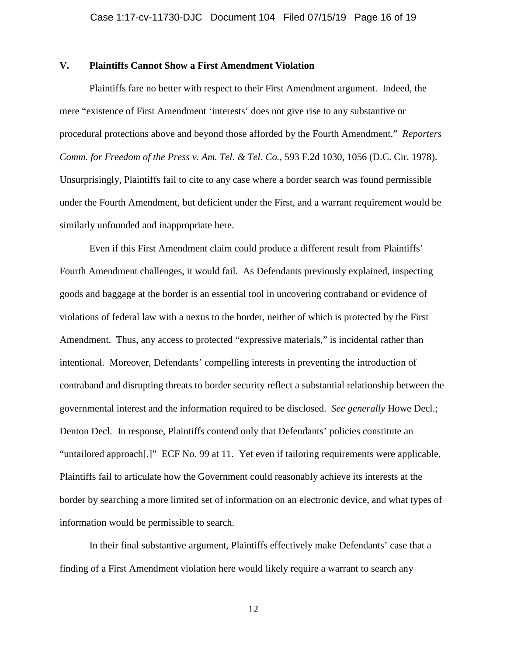# **V. Plaintiffs Cannot Show a First Amendment Violation**

Plaintiffs fare no better with respect to their First Amendment argument. Indeed, the mere "existence of First Amendment 'interests' does not give rise to any substantive or procedural protections above and beyond those afforded by the Fourth Amendment." *Reporters Comm. for Freedom of the Press v. Am. Tel. & Tel. Co.*, 593 F.2d 1030, 1056 (D.C. Cir. 1978). Unsurprisingly, Plaintiffs fail to cite to any case where a border search was found permissible under the Fourth Amendment, but deficient under the First, and a warrant requirement would be similarly unfounded and inappropriate here.

Even if this First Amendment claim could produce a different result from Plaintiffs' Fourth Amendment challenges, it would fail. As Defendants previously explained, inspecting goods and baggage at the border is an essential tool in uncovering contraband or evidence of violations of federal law with a nexus to the border, neither of which is protected by the First Amendment. Thus, any access to protected "expressive materials," is incidental rather than intentional. Moreover, Defendants' compelling interests in preventing the introduction of contraband and disrupting threats to border security reflect a substantial relationship between the governmental interest and the information required to be disclosed. *See generally* Howe Decl.; Denton Decl*.* In response, Plaintiffs contend only that Defendants' policies constitute an "untailored approach[.]" ECF No. 99 at 11. Yet even if tailoring requirements were applicable, Plaintiffs fail to articulate how the Government could reasonably achieve its interests at the border by searching a more limited set of information on an electronic device, and what types of information would be permissible to search.

In their final substantive argument, Plaintiffs effectively make Defendants' case that a finding of a First Amendment violation here would likely require a warrant to search any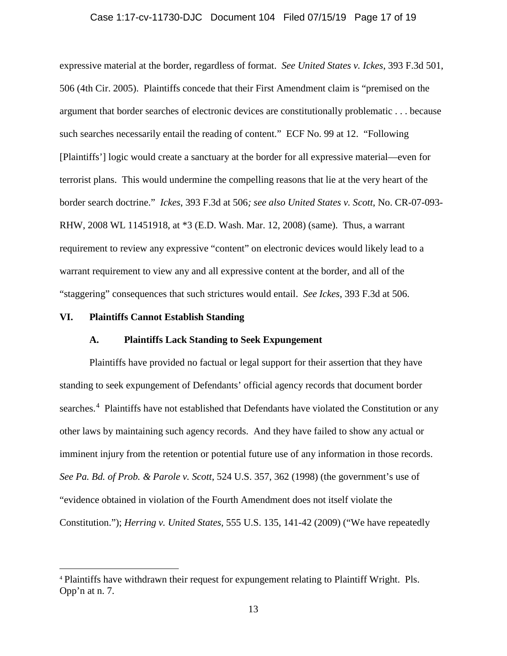### Case 1:17-cv-11730-DJC Document 104 Filed 07/15/19 Page 17 of 19

expressive material at the border, regardless of format. *See United States v. Ickes*, 393 F.3d 501, 506 (4th Cir. 2005). Plaintiffs concede that their First Amendment claim is "premised on the argument that border searches of electronic devices are constitutionally problematic . . . because such searches necessarily entail the reading of content." ECF No. 99 at 12. "Following [Plaintiffs'] logic would create a sanctuary at the border for all expressive material—even for terrorist plans. This would undermine the compelling reasons that lie at the very heart of the border search doctrine." *Ickes*, 393 F.3d at 506*; see also United States v. Scott*, No. CR-07-093- RHW, 2008 WL 11451918, at \*3 (E.D. Wash. Mar. 12, 2008) (same). Thus, a warrant requirement to review any expressive "content" on electronic devices would likely lead to a warrant requirement to view any and all expressive content at the border, and all of the "staggering" consequences that such strictures would entail. *See Ickes*, 393 F.3d at 506.

# **VI. Plaintiffs Cannot Establish Standing**

### **A. Plaintiffs Lack Standing to Seek Expungement**

Plaintiffs have provided no factual or legal support for their assertion that they have standing to seek expungement of Defendants' official agency records that document border searches.<sup>[4](#page-16-0)</sup> Plaintiffs have not established that Defendants have violated the Constitution or any other laws by maintaining such agency records. And they have failed to show any actual or imminent injury from the retention or potential future use of any information in those records. *See Pa. Bd. of Prob. & Parole v. Scott*, 524 U.S. 357, 362 (1998) (the government's use of "evidence obtained in violation of the Fourth Amendment does not itself violate the Constitution."); *Herring v. United States*, 555 U.S. 135, 141-42 (2009) ("We have repeatedly

<span id="page-16-0"></span> <sup>4</sup> Plaintiffs have withdrawn their request for expungement relating to Plaintiff Wright. Pls. Opp'n at n. 7.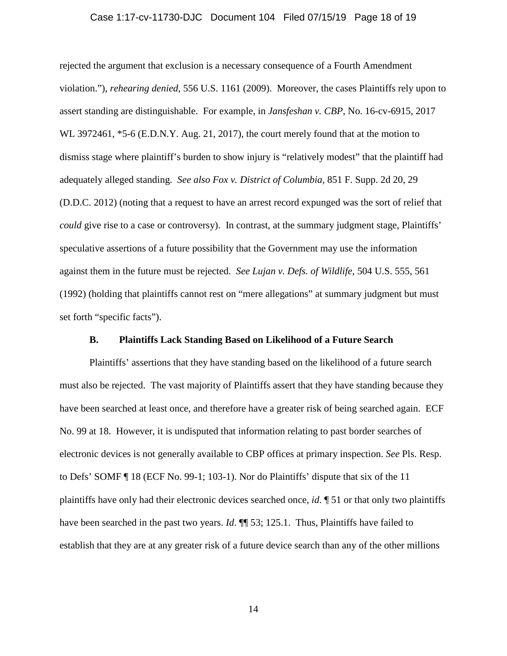### Case 1:17-cv-11730-DJC Document 104 Filed 07/15/19 Page 18 of 19

rejected the argument that exclusion is a necessary consequence of a Fourth Amendment violation."), *rehearing denied*, 556 U.S. 1161 (2009). Moreover, the cases Plaintiffs rely upon to assert standing are distinguishable. For example, in *Jansfeshan v. CBP*, No. 16-cv-6915, 2017 WL 3972461, \*5-6 (E.D.N.Y. Aug. 21, 2017), the court merely found that at the motion to dismiss stage where plaintiff's burden to show injury is "relatively modest" that the plaintiff had adequately alleged standing. *See also Fox v. District of Columbia*, 851 F. Supp. 2d 20, 29 (D.D.C. 2012) (noting that a request to have an arrest record expunged was the sort of relief that *could* give rise to a case or controversy). In contrast, at the summary judgment stage, Plaintiffs' speculative assertions of a future possibility that the Government may use the information against them in the future must be rejected. *See Lujan v. Defs. of Wildlife*, 504 U.S. 555, 561 (1992) (holding that plaintiffs cannot rest on "mere allegations" at summary judgment but must set forth "specific facts").

# **B. Plaintiffs Lack Standing Based on Likelihood of a Future Search**

Plaintiffs' assertions that they have standing based on the likelihood of a future search must also be rejected. The vast majority of Plaintiffs assert that they have standing because they have been searched at least once, and therefore have a greater risk of being searched again. ECF No. 99 at 18. However, it is undisputed that information relating to past border searches of electronic devices is not generally available to CBP offices at primary inspection. *See* Pls. Resp. to Defs' SOMF ¶ 18 (ECF No. 99-1; 103-1). Nor do Plaintiffs' dispute that six of the 11 plaintiffs have only had their electronic devices searched once, *id*. ¶ 51 or that only two plaintiffs have been searched in the past two years. *Id*.  $\P$  53; 125.1. Thus, Plaintiffs have failed to establish that they are at any greater risk of a future device search than any of the other millions